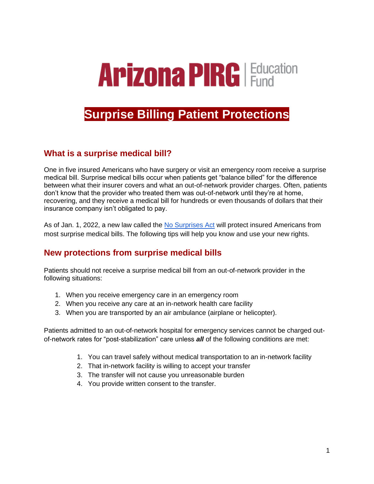# **Arizona PIRG Education**

# **Surprise Billing Patient Protections**

# **What is a surprise medical bill?**

One in five insured Americans who have surgery or visit an emergency room receive a surprise medical bill. Surprise medical bills occur when patients get "balance billed" for the difference between what their insurer covers and what an out-of-network provider charges. Often, patients don't know that the provider who treated them was out-of-network until they're at home, recovering, and they receive a medical bill for hundreds or even thousands of dollars that their insurance company isn't obligated to pay.

As of Jan. 1, 2022, a new law called the [No Surprises Act](https://www.cms.gov/nosurprises) will protect insured Americans from most surprise medical bills. The following tips will help you know and use your new rights.

# **New protections from surprise medical bills**

Patients should not receive a surprise medical bill from an out-of-network provider in the following situations:

- 1. When you receive emergency care in an emergency room
- 2. When you receive any care at an in-network health care facility
- 3. When you are transported by an air ambulance (airplane or helicopter).

Patients admitted to an out-of-network hospital for emergency services cannot be charged outof-network rates for "post-stabilization" care unless *all* of the following conditions are met:

- 1. You can travel safely without medical transportation to an in-network facility
- 2. That in-network facility is willing to accept your transfer
- 3. The transfer will not cause you unreasonable burden
- 4. You provide written consent to the transfer.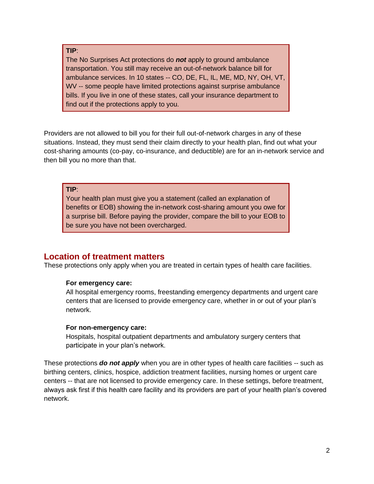#### **TIP**:

The No Surprises Act protections do *not* apply to ground ambulance transportation. You still may receive an out-of-network balance bill for ambulance services. In 10 states -- CO, DE, FL, IL, ME, MD, NY, OH, VT, WV -- some people have limited protections against surprise ambulance bills. If you live in one of these states, call your insurance department to find out if the protections apply to you.

Providers are not allowed to bill you for their full out-of-network charges in any of these situations. Instead, they must send their claim directly to your health plan, find out what your cost-sharing amounts (co-pay, co-insurance, and deductible) are for an in-network service and then bill you no more than that.

#### **TIP**:

Your health plan must give you a statement (called an explanation of benefits or EOB) showing the in-network cost-sharing amount you owe for a surprise bill. Before paying the provider, compare the bill to your EOB to be sure you have not been overcharged.

# **Location of treatment matters**

These protections only apply when you are treated in certain types of health care facilities.

#### **For emergency care:**

All hospital emergency rooms, freestanding emergency departments and urgent care centers that are licensed to provide emergency care, whether in or out of your plan's network.

#### **For non-emergency care:**

Hospitals, hospital outpatient departments and ambulatory surgery centers that participate in your plan's network.

These protections *do not apply* when you are in other types of health care facilities -- such as birthing centers, clinics, hospice, addiction treatment facilities, nursing homes or urgent care centers -- that are not licensed to provide emergency care. In these settings, before treatment, always ask first if this health care facility and its providers are part of your health plan's covered network.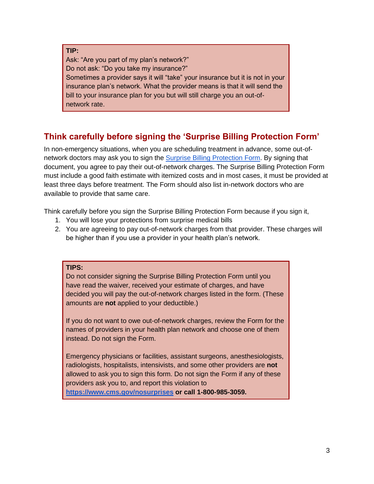#### **TIP:**

Ask: "Are you part of my plan's network?" Do not ask: "Do you take my insurance?" Sometimes a provider says it will "take" your insurance but it is not in your insurance plan's network. What the provider means is that it will send the bill to your insurance plan for you but will still charge you an out-ofnetwork rate.

# **Think carefully before signing the 'Surprise Billing Protection Form'**

In non-emergency situations, when you are scheduling treatment in advance, some out-ofnetwork doctors may ask you to sign the **Surprise Billing Protection Form**. By signing that document, you agree to pay their out-of-network charges. The Surprise Billing Protection Form must include a good faith estimate with itemized costs and in most cases, it must be provided at least three days before treatment. The Form should also list in-network doctors who are available to provide that same care.

Think carefully before you sign the Surprise Billing Protection Form because if you sign it,

- 1. You will lose your protections from surprise medical bills
- 2. You are agreeing to pay out-of-network charges from that provider. These charges will be higher than if you use a provider in your health plan's network.

#### **TIPS:**

Do not consider signing the Surprise Billing Protection Form until you have read the waiver, received your estimate of charges, and have decided you will pay the out-of-network charges listed in the form. (These amounts are **not** applied to your deductible.)

If you do not want to owe out-of-network charges, review the Form for the names of providers in your health plan network and choose one of them instead. Do not sign the Form.

Emergency physicians or facilities, assistant surgeons, anesthesiologists, radiologists, hospitalists, intensivists, and some other providers are **not** allowed to ask you to sign this form. Do not sign the Form if any of these providers ask you to, and report this violation to **<https://www.cms.gov/nosurprises> or call 1-800-985-3059.**